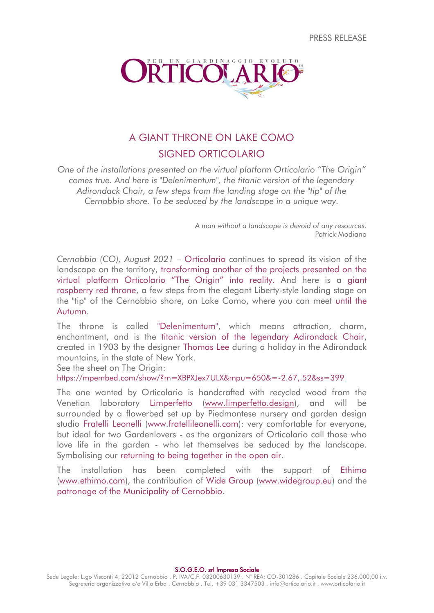PRESS RELEASE



# A GIANT THRONE ON LAKE COMO SIGNED ORTICOLARIO

*One of the installations presented on the virtual platform Orticolario "The Origin" comes true. And here is "Delenimentum", the titanic version of the legendary Adirondack Chair, a few steps from the landing stage on the "tip" of the Cernobbio shore. To be seduced by the landscape in a unique way.*

> *A man without a landscape is devoid of any resources.* Patrick Modiano

*Cernobbio (CO), August 2021* – Orticolario continues to spread its vision of the landscape on the territory, transforming another of the projects presented on the virtual platform Orticolario "The Origin" into reality. And here is a giant raspberry red throne, a few steps from the elegant Liberty-style landing stage on the "tip" of the Cernobbio shore, on Lake Como, where you can meet until the Autumn.

The throne is called "Delenimentum", which means attraction, charm, enchantment, and is the titanic version of the legendary Adirondack Chair, created in 1903 by the designer Thomas Lee during a holiday in the Adirondack mountains, in the state of New York.

See the sheet on The Origin:

<https://mpembed.com/show/?m=XBPXJex7ULX&mpu=650&=-2.67,.52&ss=399>

The one wanted by Orticolario is handcrafted with recycled wood from the Venetian laboratory Limperfetto [\(www.limperfetto.design\)](http://www.limperfetto.design/), and will be surrounded by a flowerbed set up by Piedmontese nursery and garden design studio Fratelli Leonelli [\(www.fratellileonelli.com\)](https://fratellileonelli.com/): very comfortable for everyone, but ideal for two Gardenlovers - as the organizers of Orticolario call those who love life in the garden - who let themselves be seduced by the landscape. Symbolising our returning to being together in the open air.

The installation has been completed with the support of Ethimo [\(www.ethimo.com\)](http://www.ethimo.com/), the contribution of Wide Group [\(www.widegroup.eu\)](http://www.widegroup.eu/) and the patronage of the Municipality of Cernobbio.

S.O.G.E.O. srl Impresa Sociale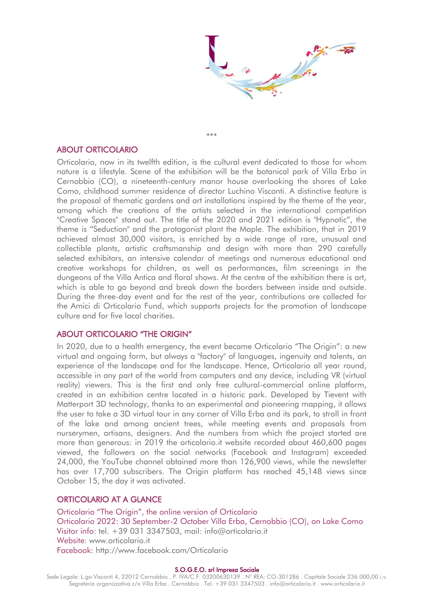

\*\*\*

# ABOUT ORTICOLARIO

Orticolario, now in its twelfth edition, is the cultural event dedicated to those for whom nature is a lifestyle. Scene of the exhibition will be the botanical park of Villa Erba in Cernobbio (CO), a nineteenth-century manor house overlooking the shores of Lake Como, childhood summer residence of director Luchino Visconti. A distinctive feature is the proposal of thematic gardens and art installations inspired by the theme of the year, among which the creations of the artists selected in the international competition "Creative Spaces" stand out. The title of the 2020 and 2021 edition is "Hypnotic", the theme is "Seduction" and the protagonist plant the Maple. The exhibition, that in 2019 achieved almost 30,000 visitors, is enriched by a wide range of rare, unusual and collectible plants, artistic craftsmanship and design with more than 290 carefully selected exhibitors, an intensive calendar of meetings and numerous educational and creative workshops for children, as well as performances, film screenings in the dungeons of the Villa Antica and floral shows. At the centre of the exhibition there is art, which is able to go beyond and break down the borders between inside and outside. During the three-day event and for the rest of the year, contributions are collected for the Amici di Orticolario Fund, which supports projects for the promotion of landscape culture and for five local charities.

# ABOUT ORTICOLARIO "THE ORIGIN"

In 2020, due to a health emergency, the event became Orticolario "The Origin": a new virtual and ongoing form, but always a "factory" of languages, ingenuity and talents, an experience of the landscape and for the landscape. Hence, Orticolario all year round, accessible in any part of the world from computers and any device, including VR (virtual reality) viewers. This is the first and only free cultural-commercial online platform, created in an exhibition centre located in a historic park. Developed by Tievent with Matterport 3D technology, thanks to an experimental and pioneering mapping, it allows the user to take a 3D virtual tour in any corner of Villa Erba and its park, to stroll in front of the lake and among ancient trees, while meeting events and proposals from nurserymen, artisans, designers. And the numbers from which the project started are more than generous: in 2019 the orticolario.it website recorded about 460,600 pages viewed, the followers on the social networks (Facebook and Instagram) exceeded 24,000, the YouTube channel obtained more than 126,900 views, while the newsletter has over 17,700 subscribers. The Origin platform has reached 45,148 views since October 15, the day it was activated.

# ORTICOLARIO AT A GLANCE

Orticolario "The Origin", the online version of Orticolario Orticolario 2022: 30 September-2 October Villa Erba, Cernobbio (CO), on Lake Como Visitor info: tel. +39 031 3347503, mail: info@orticolario.it Website: www.orticolario.it Facebook: http://www.facebook.com/Orticolario

#### S.O.G.E.O. srl Impresa Sociale